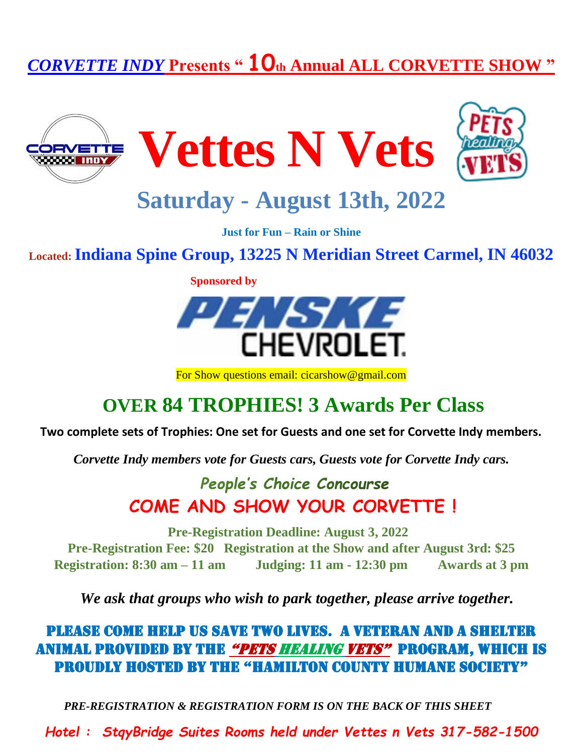# *CORVETTE INDY* **Presents " 10th Annual ALL CORVETTE SHOW "**







# **Saturday - August 13th, 2022**

**Just for Fun – Rain or Shine**

**Located: Indiana Spine Group, 13225 N Meridian Street Carmel, IN 46032**

 **Sponsored by**



For Show questions email: cicarshow@gmail.com

## **OVER 84 TROPHIES! 3 Awards Per Class**

#### **Two complete sets of Trophies: One set for Guests and one set for Corvette Indy members.**

*Corvette Indy members vote for Guests cars, Guests vote for Corvette Indy cars.*

### **People's Choice Concourse COME AND SHOW YOUR CORVETTE !**

**Pre-Registration Deadline: August 3, 2022 Pre-Registration Fee: \$20 Registration at the Show and after August 3rd: \$25 Registration: 8:30 am – 11 am Judging: 11 am - 12:30 pm Awards at 3 pm**

*We ask that groups who wish to park together, please arrive together.*

PLEASE COME HELP US SAVE TWO LIVES. A VETERAN AND A SHELTER ANIMAL PROVIDED BY THE "Pets Healing Vets" PROGRAM, WHICH IS PROUDLY HOSTED BY THE "Hamilton County Humane Society"

*PRE-REGISTRATION & REGISTRATION FORM IS ON THE BACK OF THIS SHEET*

*Hotel : StqyBridge Suites Rooms held under Vettes n Vets 317-582-1500*